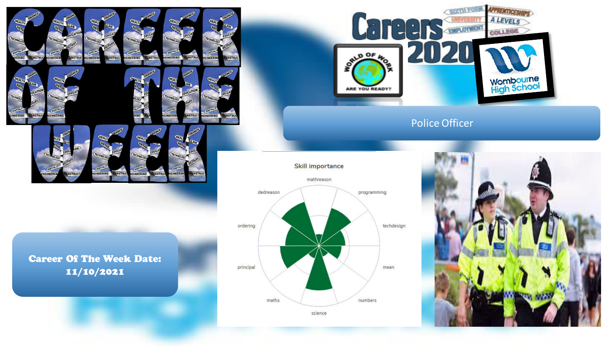

Career Of The Week Date: 11/10/2021

INEERING

**CONSTRU** 

NEERING



## Police Officer



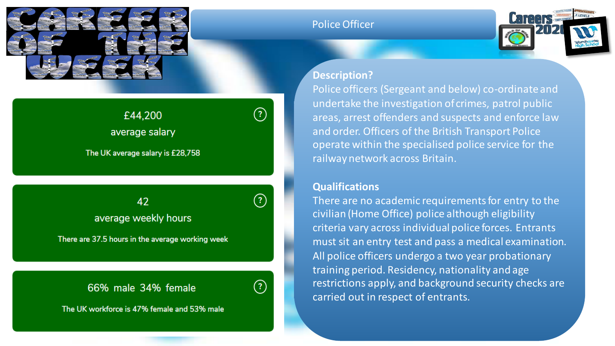

# $(?)$ £44,200 average salary The UK average salary is £28,758

42 average weekly hours

There are 37.5 hours in the average working week

# 66% male 34% female



 $(?)$ 

The UK workforce is 47% female and 53% male

### Police Officer



#### **Description?**

Police officers (Sergeant and below) co-ordinate and undertake the investigation of crimes, patrol public areas, arrest offenders and suspects and enforce law and order. Officers of the British Transport Police operate within the specialised police service for the railway network across Britain.

#### **Qualifications**

There are no academic requirements for entry to the civilian (Home Office) police although eligibility criteria vary across individual police forces. Entrants must sit an entry test and pass a medical examination. All police officers undergo a two year probationary training period. Residency, nationality and age restrictions apply, and background security checks are carried out in respect of entrants.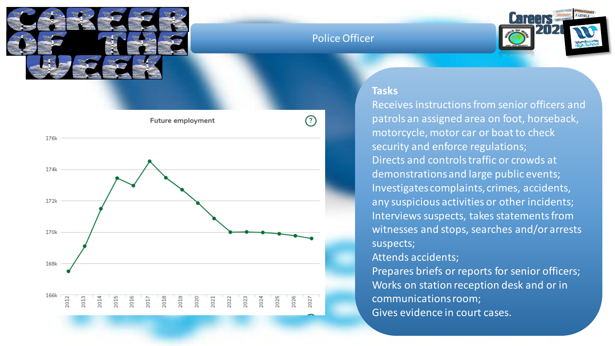

### Police Officer





#### **Tasks**

Receives instructions from senior officers and patrols an assigned area on foot, horseback, motorcycle, motor car or boat to check security and enforce regulations; Directs and controls traffic or crowds at demonstrations and large public events; Investigates complaints, crimes, accidents, any suspicious activities or other incidents; Interviews suspects, takes statements from witnesses and stops, searches and/or arrests suspects;

#### Attends accidents;

Prepares briefs or reports for senior officers; Works on station reception desk and or in communications room; Gives evidence in court cases.